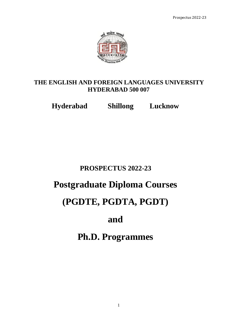

### **THE ENGLISH AND FOREIGN LANGUAGES UNIVERSITY HYDERABAD 500 007**

**Hyderabad Shillong Lucknow**

# **PROSPECTUS 2022-23**

# **Postgraduate Diploma Courses**

# **(PGDTE, PGDTA, PGDT)**

# **and**

# **Ph.D. Programmes**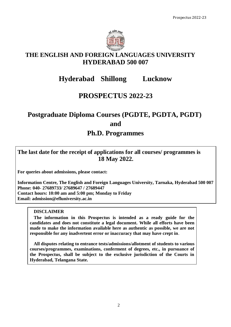

### **THE ENGLISH AND FOREIGN LANGUAGES UNIVERSITY HYDERABAD 500 007**

# **Hyderabad Shillong Lucknow**

## **PROSPECTUS 2022-23**

# **Postgraduate Diploma Courses (PGDTE, PGDTA, PGDT) and Ph.D. Programmes**

### **The last date for the receipt of applications for all courses/ programmes is 18 May 2022.**

**For queries about admissions, please contact:** 

**Information Centre, The English and Foreign Languages University, Tarnaka, Hyderabad 500 007 Phone: 040- 27689733/ 27689647 / 27689447 Contact hours: 10:00 am and 5:00 pm; Monday to Friday Email: admission@efluniversity.ac.in** 

### **DISCLAIMER**

**The information in this Prospectus is intended as a ready guide for the candidates and does not constitute a legal document. While all efforts have been made to make the information available here as authentic as possible, we are not responsible for any inadvertent error or inaccuracy that may have crept in**.

**All disputes relating to entrance tests/admissions/allotment of students to various courses/programmes, examinations, conferment of degrees, etc., in pursuance of the Prospectus, shall be subject to the exclusive jurisdiction of the Courts in Hyderabad, Telangana State.**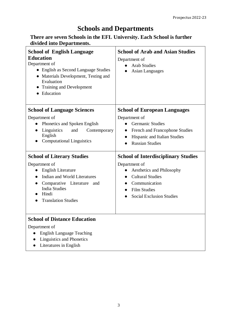## **Schools and Departments**

### **There are seven Schools in the EFL University. Each School is further divided into Departments.**

| <b>School of English Language</b><br><b>Education</b><br>Department of<br>• English as Second Language Studies<br>• Materials Development, Testing and<br>Evaluation<br>• Training and Development<br>• Education | <b>School of Arab and Asian Studies</b><br>Department of<br><b>Arab Studies</b><br><b>Asian Languages</b>                                                      |  |
|-------------------------------------------------------------------------------------------------------------------------------------------------------------------------------------------------------------------|----------------------------------------------------------------------------------------------------------------------------------------------------------------|--|
| <b>School of Language Sciences</b>                                                                                                                                                                                | <b>School of European Languages</b>                                                                                                                            |  |
| Department of<br>Phonetics and Spoken English<br>$\bullet$<br>Linguistics<br>and<br>Contemporary<br>$\bullet$<br>English<br><b>Computational Linguistics</b>                                                      | Department of<br><b>Germanic Studies</b><br>French and Francophone Studies<br>$\bullet$<br>Hispanic and Italian Studies<br>$\bullet$<br><b>Russian Studies</b> |  |
| <b>School of Literary Studies</b>                                                                                                                                                                                 | <b>School of Interdisciplinary Studies</b>                                                                                                                     |  |
| Department of<br><b>English Literature</b><br>$\bullet$<br>Indian and World Literatures<br>Comparative Literature and<br>$\bullet$<br><b>India Studies</b><br>Hindi<br><b>Translation Studies</b>                 | Department of<br>Aesthetics and Philosophy<br><b>Cultural Studies</b><br>Communication<br><b>Film Studies</b><br><b>Social Exclusion Studies</b>               |  |
| <b>School of Distance Education</b><br>Department of                                                                                                                                                              |                                                                                                                                                                |  |

- English Language Teaching
- Linguistics and Phonetics
- Literatures in English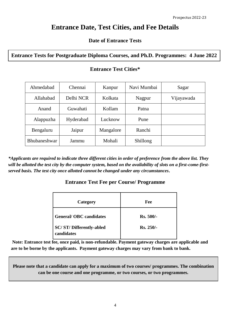## **Entrance Date, Test Cities, and Fee Details**

### **Date of Entrance Tests**

### **Entrance Tests for Postgraduate Diploma Courses, and Ph.D. Programmes: 4 June 2022**

| Ahmedabad           | Chennai   | Kanpur    | Navi Mumbai | Sagar      |
|---------------------|-----------|-----------|-------------|------------|
| Allahabad           | Delhi NCR | Kolkata   | Nagpur      | Vijayawada |
| Anand               | Guwahati  | Kollam    | Patna       |            |
| Alappuzha           | Hyderabad | Lucknow   | Pune        |            |
| Bengaluru           | Jaipur    | Mangalore | Ranchi      |            |
| <b>Bhubaneshwar</b> | Jammu     | Mohali    | Shillong    |            |

### **Entrance Test Cities\***

*\*Applicants are required to indicate three different cities in order of preference from the above list. They will be allotted the test city by the computer system, based on the availability of slots on a first-come-firstserved basis. The test city once allotted cannot be changed under any circumstances***.**

### **Entrance Test Fee per Course/ Programme**

| Category                                     | Fee              |
|----------------------------------------------|------------------|
| <b>General/OBC</b> candidates                | <b>Rs. 500/-</b> |
| <b>SC/ST/Differently-abled</b><br>candidates | Rs. 250/-        |

**Note: Entrance test fee, once paid, is non-refundable. Payment gateway charges are applicable and are to be borne by the applicants. Payment gateway charges may vary from bank to bank.**

**Please note that a candidate can apply for a maximum of two courses/ programmes. The combination can be one course and one programme, or two courses, or two programmes.**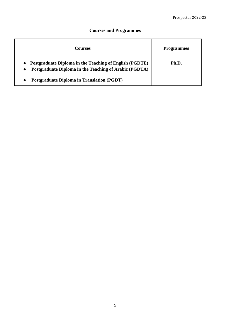### **Courses and Programmes**

| Courses                                                                                                           | <b>Programmes</b> |
|-------------------------------------------------------------------------------------------------------------------|-------------------|
| Postgraduate Diploma in the Teaching of English (PGDTE)<br>Postgraduate Diploma in the Teaching of Arabic (PGDTA) | Ph.D.             |
| <b>Postgraduate Diploma in Translation (PGDT)</b>                                                                 |                   |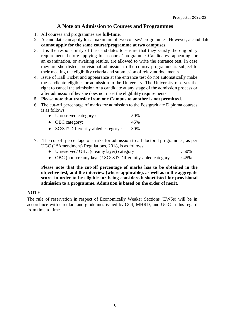### **A Note on Admission to Courses and Programmes**

- 1. All courses and programmes are **full-time**.
- 2. A candidate can apply for a maximum of two courses/ programmes. However, a candidate **cannot apply for the same course/programme at two campuses**.
- 3. It is the responsibility of the candidates to ensure that they satisfy the eligibility requirements before applying for a course/ programme..Candidates appearing for an examination, or awaiting results, are allowed to write the entrance test. In case they are shortlisted, provisional admission to the course/ programme is subject to their meeting the eligibility criteria and submission of relevant documents.
- 4. Issue of Hall Ticket and appearance at the entrance test do not automatically make the candidate eligible for admission to the University. The University reserves the right to cancel the admission of a candidate at any stage of the admission process or after admission if he/ she does not meet the eligibility requirements.
- **5. Please note that transfer from one Campus to another is not permitted.**
- 6. The cut-off percentage of marks for admission to the Postgraduate Diploma courses is as follows:

| • Unreserved category : | 50% |
|-------------------------|-----|
| • OBC category:         | 45% |
|                         |     |

- SC/ST/ Differently-abled category : 30%
- 7. The cut-off percentage of marks for admission to all doctoral programmes, as per UGC  $(1<sup>st</sup> A mendment)$  Regulations, 2018, is as follows:
	- Unreserved/ OBC (creamy layer) category : 50%
	- OBC (non-creamy layer)/ SC/ ST/ Differently-abled category : 45%

**Please note that the cut-off percentage of marks has to be obtained in the objective test, and the interview (where applicable), as well as in the aggregate score, in order to be eligible for being considered/ shortlisted for provisional admission to a programme. Admission is based on the order of merit.**

#### **NOTE**

The rule of reservation in respect of Economically Weaker Sections (EWSs) will be in accordance with circulars and guidelines issued by GOI, MHRD, and UGC in this regard from time to time.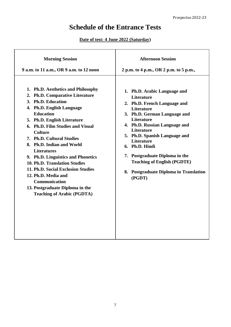Prospectus 2022-23

# **Schedule of the Entrance Tests**

### **Date of test: 4 June 2022 (Saturday)**

| <b>Morning Session</b>                                                                                                                                                                                                                                                                                                                                                                                                                                                                                                                                | <b>Afternoon Session</b>                                                                                                                                                                                                                                                                                                                                                                                |
|-------------------------------------------------------------------------------------------------------------------------------------------------------------------------------------------------------------------------------------------------------------------------------------------------------------------------------------------------------------------------------------------------------------------------------------------------------------------------------------------------------------------------------------------------------|---------------------------------------------------------------------------------------------------------------------------------------------------------------------------------------------------------------------------------------------------------------------------------------------------------------------------------------------------------------------------------------------------------|
| 9 a.m. to 11 a.m., OR 9 a.m. to 12 noon                                                                                                                                                                                                                                                                                                                                                                                                                                                                                                               | 2 p.m. to 4 p.m., OR 2 p.m. to 5 p.m.,                                                                                                                                                                                                                                                                                                                                                                  |
| 1. Ph.D. Aesthetics and Philosophy<br>2. Ph.D. Comparative Literature<br>3. Ph.D. Education<br>4. Ph.D. English Language<br><b>Education</b><br>5. Ph.D. English Literature<br>6. Ph.D. Film Studies and Visual<br><b>Culture</b><br>7. Ph.D. Cultural Studies<br>8. Ph.D. Indian and World<br><b>Literatures</b><br>9. Ph.D. Linguistics and Phonetics<br>10. Ph.D. Translation Studies<br>11. Ph.D. Social Exclusion Studies<br>12. Ph.D. Media and<br><b>Communication</b><br>13. Postgraduate Diploma in the<br><b>Teaching of Arabic (PGDTA)</b> | 1. Ph.D. Arabic Language and<br><b>Literature</b><br>2. Ph.D. French Language and<br>Literature<br>3. Ph.D. German Language and<br>Literature<br>4. Ph.D. Russian Language and<br><b>Literature</b><br>5. Ph.D. Spanish Language and<br><b>Literature</b><br>6. Ph.D. Hindi<br>7. Postgraduate Diploma in the<br><b>Teaching of English (PGDTE)</b><br>8. Postgraduate Diploma in Translation<br>(PGDT) |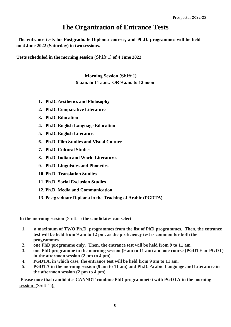# **The Organization of Entrance Tests**

**The entrance tests for Postgraduate Diploma courses, and Ph.D. programmes will be held on 4 June 2022 (Saturday) in two sessions.** 

**Tests scheduled in the morning session (Shift 1) of 4 June 2022**

|    | <b>Morning Session (Shift 1)</b>                           |  |
|----|------------------------------------------------------------|--|
|    | 9 a.m. to 11 a.m., OR 9 a.m. to 12 noon                    |  |
|    | 1. Ph.D. Aesthetics and Philosophy                         |  |
|    | 2. Ph.D. Comparative Literature                            |  |
|    | 3. Ph.D. Education                                         |  |
| 4. | <b>Ph.D. English Language Education</b>                    |  |
| 5. | <b>Ph.D. English Literature</b>                            |  |
| 6. | <b>Ph.D. Film Studies and Visual Culture</b>               |  |
|    | 7. Ph.D. Cultural Studies                                  |  |
|    | 8. Ph.D. Indian and World Literatures                      |  |
|    | 9. Ph.D. Linguistics and Phonetics                         |  |
|    | 10. Ph.D. Translation Studies                              |  |
|    | 11. Ph.D. Social Exclusion Studies                         |  |
|    | 12. Ph.D. Media and Communication                          |  |
|    | 13. Postgraduate Diploma in the Teaching of Arabic (PGDTA) |  |

**In the morning session** (Shift 1) **the candidates can select**

- **1. a maximum of TWO Ph.D. programmes from the list of PhD programmes. Then, the entrance test will be held from 9 am to 12 pm, as the proficiency test is common for both the programmes.**
- **2. one PhD programme only. Then, the entrance test will be held from 9 to 11 am.**
- **3. one PhD programme in the morning session (9 am to 11 am) and one course (PGDTE or PGDT) in the afternoon session (2 pm to 4 pm).**
- **4. PGDTA, in which case, the entrance test will be held from 9 am to 11 am.**
- **5. PGDTA in the morning session (9 am to 11 am) and Ph.D. Arabic Language and Literature in the afternoon session (2 pm to 4 pm)**

**Please note that candidates CANNOT combine PhD programme(s) with PGDTA in the morning session** (Shift 1)**).**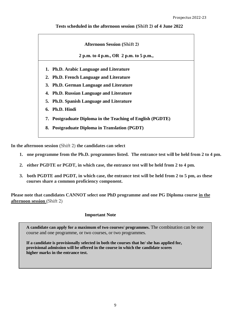#### **Tests scheduled in the afternoon session (Shift 2) of 4 June 2022**

| <b>Afternoon Session (Shift 2)</b> |                                                            |  |  |
|------------------------------------|------------------------------------------------------------|--|--|
|                                    | 2 p.m. to 4 p.m., OR 2 p.m. to 5 p.m.,                     |  |  |
|                                    | 1. Ph.D. Arabic Language and Literature                    |  |  |
|                                    | 2. Ph.D. French Language and Literature                    |  |  |
|                                    | 3. Ph.D. German Language and Literature                    |  |  |
|                                    | 4. Ph.D. Russian Language and Literature                   |  |  |
|                                    | 5. Ph.D. Spanish Language and Literature                   |  |  |
|                                    | 6. Ph.D. Hindi                                             |  |  |
|                                    | 7. Postgraduate Diploma in the Teaching of English (PGDTE) |  |  |
|                                    | 8. Postgraduate Diploma in Translation (PGDT)              |  |  |

**In the afternoon session** (Shift 2) **the candidates can select**

- **1. one programme from the Ph.D. programmes listed. The entrance test will be held from 2 to 4 pm.**
- **2. either PGDTE or PGDT, in which case, the entrance test will be held from 2 to 4 pm.**
- **3. both PGDTE and PGDT, in which case, the entrance test will be held from 2 to 5 pm, as these courses share a common proficiency component.**

**Please note that candidates CANNOT select one PhD programme and one PG Diploma course in the afternoon session** (Shift 2)

#### **Important Note**

**A candidate can apply for a maximum of two courses/ programmes.** The combination can be one course and one programme, or two courses, or two programmes.

**If a candidate is provisionally selected in both the courses that he/ she has applied for, provisional admission will be offered in the course in which the candidate scores higher marks in the entrance test.**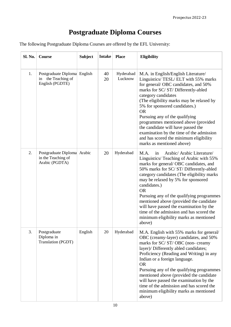# **Postgraduate Diploma Courses**

The following Postgraduate Diploma Courses are offered by the EFL University:

| Sl. No. | Course                                                                | <b>Subject</b> | <b>Intake</b> | <b>Place</b>         | <b>Eligibility</b>                                                                                                                                                                                                                                                                                                                                                                                                                                                                                                         |
|---------|-----------------------------------------------------------------------|----------------|---------------|----------------------|----------------------------------------------------------------------------------------------------------------------------------------------------------------------------------------------------------------------------------------------------------------------------------------------------------------------------------------------------------------------------------------------------------------------------------------------------------------------------------------------------------------------------|
| 1.      | Postgraduate Diploma English<br>in the Teaching of<br>English (PGDTE) |                | 40<br>20      | Hyderabad<br>Lucknow | M.A. in English/English Literature/<br>Linguistics/ TESL/ ELT with 55% marks<br>for general/OBC candidates, and 50%<br>marks for SC/ST/Differently-abled<br>category candidates<br>(The eligibility marks may be relaxed by<br>5% for sponsored candidates.)<br><b>OR</b><br>Pursuing any of the qualifying<br>programmes mentioned above (provided<br>the candidate will have passed the<br>examination by the time of the admission<br>and has scored the minimum eligibility<br>marks as mentioned above)               |
| 2.      | Postgraduate Diploma Arabic<br>in the Teaching of<br>Arabic (PGDTA)   |                | 20            | Hyderabad            | Arabic/ Arabic Literature/<br>M.A.<br>in<br>Linguistics/ Teaching of Arabic with 55%<br>marks for general/OBC candidates, and<br>50% marks for SC/ST/Differently-abled<br>category candidates (The eligibility marks<br>may be relaxed by 5% for sponsored<br>candidates.)<br><b>OR</b><br>Pursuing any of the qualifying programmes<br>mentioned above (provided the candidate<br>will have passed the examination by the<br>time of the admission and has scored the<br>minimum eligibility marks as mentioned<br>above) |
| 3.      | Postgraduate<br>Diploma in<br>Translation (PGDT)                      | English        | 20            | Hyderabad            | M.A. English with 55% marks for general/<br>OBC (creamy-layer) candidates, and 50%<br>marks for SC/ST/OBC (non-creamy<br>layer)/ Differently abled candidates;<br>Proficiency (Reading and Writing) in any<br>Indian or a foreign language.<br><b>OR</b><br>Pursuing any of the qualifying programmes<br>mentioned above (provided the candidate<br>will have passed the examination by the<br>time of the admission and has scored the<br>minimum eligibility marks as mentioned<br>above)                                |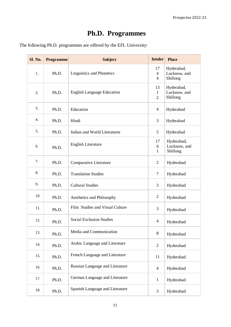# **Ph.D. Programmes**

The following Ph.D. programmes are offered by the EFL University:

| Sl. No. | <b>Programme</b> | <b>Subject</b>                    |                                        | <b>Place</b>                           |
|---------|------------------|-----------------------------------|----------------------------------------|----------------------------------------|
| 1.      | Ph.D.            | Linguistics and Phonetics         | 17<br>$\overline{4}$<br>$\overline{4}$ | Hyderabad,<br>Lucknow, and<br>Shillong |
| 2.      | Ph.D.            | <b>English Language Education</b> | 13<br>$\mathbf{1}$<br>$\overline{2}$   | Hyderabad,<br>Lucknow, and<br>Shillong |
| 3.      | Ph.D.            | Education                         | $\overline{4}$                         | Hyderabad                              |
| 4.      | Ph.D.            | Hindi                             | 3                                      | Hyderabad                              |
| 5.      | Ph.D.            | Indian and World Literatures      | 5                                      | Hyderabad                              |
| 6.      | Ph.D.            | <b>English Literature</b>         | 17<br>6<br>$\mathbf{1}$                | Hyderabad,<br>Lucknow, and<br>Shillong |
| 7.      | Ph.D.            | Comparative Literature            | $\overline{2}$                         | Hyderabad                              |
| 8.      | Ph.D.            | <b>Translation Studies</b>        | 7                                      | Hyderabad                              |
| 9.      | Ph.D.            | <b>Cultural Studies</b>           | 3                                      | Hyderabad                              |
| 10.     | Ph.D.            | Aesthetics and Philosophy         | $\overline{2}$                         | Hyderabad                              |
| 11.     | Ph.D.            | Film Studies and Visual Culture   | 3                                      | Hyderabad                              |
| 12.     | Ph.D.            | <b>Social Exclusion Studies</b>   | $\overline{4}$                         | Hyderabad                              |
| 13.     | Ph.D.            | Media and Communication           | $8\,$                                  | Hyderabad                              |
| 14.     | Ph.D.            | Arabic Language and Literature    | $\mathbf{2}$                           | Hyderabad                              |
| 15.     | Ph.D.            | French Language and Literature    | 11                                     | Hyderabad                              |
| 16.     | Ph.D.            | Russian Language and Literature   | $\overline{4}$                         | Hyderabad                              |
| 17.     | Ph.D.            | German Language and Literature    | $\mathbf{1}$                           | Hyderabad                              |
| 18.     | Ph.D.            | Spanish Language and Literature   | 3                                      | Hyderabad                              |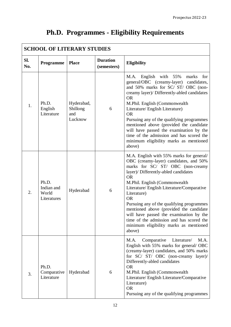| <b>SCHOOL OF LITERARY STUDIES</b> |                                             |                                          |                                |                                                                                                                                                                                                                                                                                                                                                                                                                                                                                                                           |  |
|-----------------------------------|---------------------------------------------|------------------------------------------|--------------------------------|---------------------------------------------------------------------------------------------------------------------------------------------------------------------------------------------------------------------------------------------------------------------------------------------------------------------------------------------------------------------------------------------------------------------------------------------------------------------------------------------------------------------------|--|
| SI.<br>No.                        | Programme                                   | <b>Place</b>                             | <b>Duration</b><br>(semesters) | <b>Eligibility</b>                                                                                                                                                                                                                                                                                                                                                                                                                                                                                                        |  |
| 1.                                | Ph.D.<br>English<br>Literature              | Hyderabad,<br>Shillong<br>and<br>Lucknow | 6                              | English with 55%<br>M.A.<br>marks<br>for<br>general/OBC (creamy-layer) candidates,<br>and 50% marks for SC/ST/OBC (non-<br>creamy layer)/ Differently-abled candidates<br><b>OR</b><br>M.Phil. English (Commonwealth<br>Literature/ English Literature)<br><b>OR</b><br>Pursuing any of the qualifying programmes<br>mentioned above (provided the candidate<br>will have passed the examination by the<br>time of the admission and has scored the<br>minimum eligibility marks as mentioned<br>above)                   |  |
| 2.                                | Ph.D.<br>Indian and<br>World<br>Literatures | Hyderabad                                | 6                              | M.A. English with 55% marks for general/<br>OBC (creamy-layer) candidates, and 50%<br>marks for SC/ ST/ OBC (non-creamy<br>layer)/ Differently-abled candidates<br><b>OR</b><br>M.Phil. English (Commonwealth<br>Literature/English Literature/Comparative<br>Literature)<br><b>OR</b><br>Pursuing any of the qualifying programmes<br>mentioned above (provided the candidate<br>will have passed the examination by the<br>time of the admission and has scored the<br>minimum eligibility marks as mentioned<br>above) |  |
| 3.                                | Ph.D.<br>Comparative<br>Literature          | Hyderabad                                | 6                              | M.A.<br>Comparative<br>Literature/<br>M.A.<br>English with 55% marks for general/OBC<br>(creamy-layer) candidates, and 50% marks<br>for SC/ ST/ OBC (non-creamy layer)/<br>Differently-abled candidates<br><b>OR</b><br>M.Phil. English (Commonwealth<br>Literature/English Literature/Comparative<br>Literature)<br><b>OR</b><br>Pursuing any of the qualifying programmes                                                                                                                                               |  |

# **Ph.D. Programmes - Eligibility Requirements**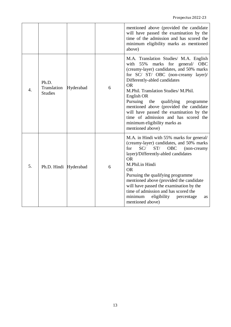|                  |                                        |           |   | mentioned above (provided the candidate<br>will have passed the examination by the<br>time of the admission and has scored the<br>minimum eligibility marks as mentioned<br>above)                                                                                                                                                                                                                                                                                                                    |
|------------------|----------------------------------------|-----------|---|-------------------------------------------------------------------------------------------------------------------------------------------------------------------------------------------------------------------------------------------------------------------------------------------------------------------------------------------------------------------------------------------------------------------------------------------------------------------------------------------------------|
| $\overline{4}$ . | Ph.D.<br>Translation<br><b>Studies</b> | Hyderabad | 6 | M.A. Translation Studies/ M.A. English<br>marks for general/ OBC<br>55%<br>with<br>(creamy-layer) candidates, and 50% marks<br>for SC/ ST/ OBC (non-creamy layer)/<br>Differently-abled candidates<br><b>OR</b><br>M.Phil. Translation Studies/ M.Phil.<br>English OR<br>Pursuing<br>the<br>qualifying<br>programme<br>mentioned above (provided the candidate<br>will have passed the examination by the<br>time of admission and has scored the<br>minimum eligibility marks as<br>mentioned above) |
| 5.               | Ph.D. Hindi Hyderabad                  |           | 6 | M.A. in Hindi with 55% marks for general/<br>(creamy-layer) candidates, and 50% marks<br>SC/<br>ST/<br><b>OBC</b><br>for<br>(non-creamy<br>layer)/Differently-abled candidates<br><b>OR</b><br>M.Phil.in Hindi<br><b>OR</b><br>Pursuing the qualifying programme<br>mentioned above (provided the candidate<br>will have passed the examination by the<br>time of admission and has scored the<br>minimum<br>eligibility<br>percentage<br>as<br>mentioned above)                                      |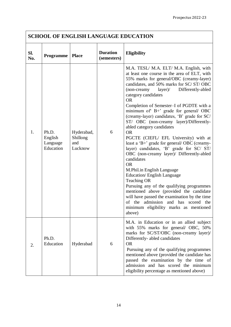## **SCHOOL OF ENGLISH LANGUAGE EDUCATION**

| Sl.<br>No. | Programme                                 | <b>Place</b>                             | <b>Duration</b><br>(semesters) | <b>Eligibility</b>                                                                                                                                                                                                                                                                                                                                                                                                                                                                                                                                                                                                                                                                                                                                                                                                                                                                                                                                                                                                                       |
|------------|-------------------------------------------|------------------------------------------|--------------------------------|------------------------------------------------------------------------------------------------------------------------------------------------------------------------------------------------------------------------------------------------------------------------------------------------------------------------------------------------------------------------------------------------------------------------------------------------------------------------------------------------------------------------------------------------------------------------------------------------------------------------------------------------------------------------------------------------------------------------------------------------------------------------------------------------------------------------------------------------------------------------------------------------------------------------------------------------------------------------------------------------------------------------------------------|
| 1.         | Ph.D.<br>English<br>Language<br>Education | Hyderabad,<br>Shillong<br>and<br>Lucknow | 6                              | M.A. TESL/ M.A. ELT/ M.A. English, with<br>at least one course in the area of ELT, with<br>55% marks for general/OBC (creamy-layer)<br>candidates, and 50% marks for SC/ST/OBC<br>Differently-abled<br>$(non-creamy \quad layer)/$<br>category candidates<br><b>OR</b><br>Completion of Semester-I of PGDTE with a<br>minimum of B+' grade for general/ OBC<br>(creamy-layer) candidates, 'B' grade for SC/<br>ST/ OBC (non-creamy layer)/Differently-<br>abled category candidates<br><b>OR</b><br>PGCTE (CIEFL/ EFL University) with at<br>least a 'B+' grade for general/OBC (creamy-<br>layer) candidates, 'B' grade for SC/ ST/<br>OBC (non-creamy layer)/ Differently-abled<br>candidates<br><b>OR</b><br>M.Phil.in English Language<br><b>Education/English Language</b><br><b>Teaching OR</b><br>Pursuing any of the qualifying programmes<br>mentioned above (provided the candidate<br>will have passed the examination by the time<br>of the admission and has scored the<br>minimum eligibility marks as mentioned<br>above) |
| 2.         | Ph.D.<br>Education                        | Hyderabad                                | 6                              | M.A. in Education or in an allied subject<br>with 55% marks for general/ OBC, 50%<br>marks for SC/ST/OBC (non-creamy layer)/<br>Differently- abled candidates<br><b>OR</b><br>Pursuing any of the qualifying programmes<br>mentioned above (provided the candidate has<br>passed the examination by the time of<br>admission and has scored the minimum<br>eligibility percentage as mentioned above)                                                                                                                                                                                                                                                                                                                                                                                                                                                                                                                                                                                                                                    |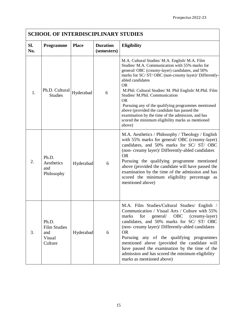| <b>SCHOOL OF INTERDISCIPLINARY STUDIES</b> |                                                          |              |                                |                                                                                                                                                                                                                                                                                                                                                                                                                                                                                                                                                                                  |  |
|--------------------------------------------|----------------------------------------------------------|--------------|--------------------------------|----------------------------------------------------------------------------------------------------------------------------------------------------------------------------------------------------------------------------------------------------------------------------------------------------------------------------------------------------------------------------------------------------------------------------------------------------------------------------------------------------------------------------------------------------------------------------------|--|
| SI.<br>No.                                 | <b>Programme</b>                                         | <b>Place</b> | <b>Duration</b><br>(semesters) | <b>Eligibility</b>                                                                                                                                                                                                                                                                                                                                                                                                                                                                                                                                                               |  |
| 1.                                         | Ph.D. Cultural<br><b>Studies</b>                         | Hyderabad    | 6                              | M.A. Cultural Studies/ M.A. English/ M.A. Film<br>Studies/ M.A. Communication with 55% marks for<br>general/OBC (creamy-layer) candidates, and 50%<br>marks for SC/ST/OBC (non-creamy layer)/ Differently-<br>abled candidates<br><b>OR</b><br>M.Phil. Cultural Studies/ M. Phil English/ M.Phil. Film<br>Studies/ M.Phil. Communication<br><b>OR</b><br>Pursuing any of the qualifying programmes mentioned<br>above (provided the candidate has passed the<br>examination by the time of the admission, and has<br>scored the minimum eligibility marks as mentioned<br>above) |  |
| 2.                                         | Ph.D.<br>Aesthetics<br>and<br>Philosophy                 | Hyderabad    | 6                              | M.A. Aesthetics / Philosophy / Theology / English<br>with 55% marks for general/OBC (creamy-layer)<br>candidates, and 50% marks for SC/ST/OBC<br>(non-creamy layer)/ Differently-abled candidates<br><b>OR</b><br>Pursuing the qualifying programme mentioned<br>above (provided the candidate will have passed the<br>examination by the time of the admission and has<br>scored the minimum eligibility percentage as<br>mentioned above)                                                                                                                                      |  |
| 3.                                         | Ph.D.<br><b>Film Studies</b><br>and<br>Visual<br>Culture | Hyderabad    | 6                              | M.A. Film Studies/Cultural Studies/ English /<br>Communication / Visual Arts / Culture with 55%<br>marks<br>for<br>OBC (creamy-layer)<br>general/<br>candidates, and 50% marks for SC/ ST/ OBC<br>(non-creamy layer)/ Differently-abled candidates<br><b>OR</b><br>Pursuing any of the qualifying programmes<br>mentioned above (provided the candidate will<br>have passed the examination by the time of the<br>admission and has scored the minimum eligibility<br>marks as mentioned above)                                                                                  |  |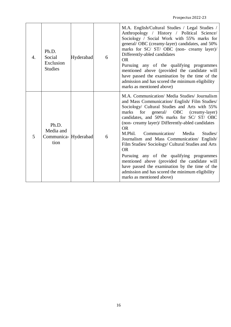| 4. | Ph.D.<br>Social<br>Exclusion<br><b>Studies</b>     | Hyderabad | 6 | M.A. English/Cultural Studies / Legal Studies /<br>Anthropology / History / Political Science/<br>Sociology / Social Work with 55% marks for<br>general/ OBC (creamy-layer) candidates, and 50%<br>marks for SC/ ST/ OBC (non- creamy layer)/<br>Differently-abled candidates<br><b>OR</b><br>Pursuing any of the qualifying programmes<br>mentioned above (provided the candidate will<br>have passed the examination by the time of the<br>admission and has scored the minimum eligibility<br>marks as mentioned above)                                                                                                                                                                                     |
|----|----------------------------------------------------|-----------|---|----------------------------------------------------------------------------------------------------------------------------------------------------------------------------------------------------------------------------------------------------------------------------------------------------------------------------------------------------------------------------------------------------------------------------------------------------------------------------------------------------------------------------------------------------------------------------------------------------------------------------------------------------------------------------------------------------------------|
| 5  | Ph.D.<br>Media and<br>Communica- Hyderabad<br>tion |           | 6 | M.A. Communication/ Media Studies/ Journalism<br>and Mass Communication/ English/ Film Studies/<br>Sociology/ Cultural Studies and Arts with 55%<br>for general/ OBC (creamy-layer)<br>marks<br>candidates, and 50% marks for SC/ ST/ OBC<br>(non-creamy layer)/ Differently-abled candidates<br><b>OR</b><br>M.Phil.<br>Communication/<br>Studies/<br>Media<br>Journalism and Mass Communication/ English/<br>Film Studies/ Sociology/ Cultural Studies and Arts<br><b>OR</b><br>Pursuing any of the qualifying programmes<br>mentioned above (provided the candidate will<br>have passed the examination by the time of the<br>admission and has scored the minimum eligibility<br>marks as mentioned above) |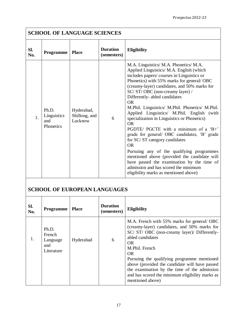## **SCHOOL OF LANGUAGE SCIENCES**

| Sl.<br>No.     | <b>Programme</b>                         | <b>Place</b>                           | <b>Duration</b><br>(semesters) | <b>Eligibility</b>                                                                                                                                                                                                                                                                                                                                                                                                                                                                                                                                                                                                                                                                                                                                                                                                                     |
|----------------|------------------------------------------|----------------------------------------|--------------------------------|----------------------------------------------------------------------------------------------------------------------------------------------------------------------------------------------------------------------------------------------------------------------------------------------------------------------------------------------------------------------------------------------------------------------------------------------------------------------------------------------------------------------------------------------------------------------------------------------------------------------------------------------------------------------------------------------------------------------------------------------------------------------------------------------------------------------------------------|
| $\mathbf{1}$ . | Ph.D.<br>Linguistics<br>and<br>Phonetics | Hyderabad,<br>Shillong, and<br>Lucknow | 6                              | M.A. Linguistics/ M.A. Phonetics/ M.A.<br>Applied Linguistics/ M.A. English (which<br>includes papers/courses in Linguistics or<br>Phonetics) with 55% marks for general/OBC<br>(creamy-layer) candidates, and 50% marks for<br>SC/ST/OBC (non-creamy layer) /<br>Differently- abled candidates<br>OR.<br>M.Phil. Linguistics/ M.Phil. Phonetics/ M.Phil.<br>Applied Linguistics/ M.Phil. English (with<br>specialization in Linguistics or Phonetics)<br><b>OR</b><br>PGDTE/ PGCTE with a minimum of a 'B+'<br>grade for general/ OBC candidates, 'B' grade<br>for SC/ST category candidates<br><b>OR</b><br>Pursuing any of the qualifying programmes<br>mentioned above (provided the candidate will<br>have passed the examination by the time of<br>admission and has scored the minimum<br>eligibility marks as mentioned above) |

# **SCHOOL OF EUROPEAN LANGUAGES**

| SI.<br>No. | <b>Programme</b>                                 | <b>Place</b> | <b>Duration</b><br>(semesters) | <b>Eligibility</b>                                                                                                                                                                                                                                                                                                                                                                                                     |
|------------|--------------------------------------------------|--------------|--------------------------------|------------------------------------------------------------------------------------------------------------------------------------------------------------------------------------------------------------------------------------------------------------------------------------------------------------------------------------------------------------------------------------------------------------------------|
| 1.         | Ph.D.<br>French<br>Language<br>and<br>Literature | Hyderabad    | 6                              | M.A. French with 55% marks for general/OBC<br>(creamy-layer) candidates, and 50% marks for<br>SC/ ST/ OBC (non-creamy layer)/ Differently-<br>abled candidates<br>OR.<br>M.Phil. French<br>OR.<br>Pursuing the qualifying programme mentioned<br>above (provided the candidate will have passed<br>the examination by the time of the admission<br>and has scored the minimum eligibility marks as<br>mentioned above) |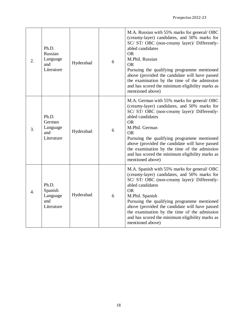| 2.                    | Ph.D.<br>Russian<br>Language<br>and<br>Literature | Hyderabad | 6 | M.A. Russian with 55% marks for general/OBC<br>(creamy-layer) candidates, and 50% marks for<br>SC/ ST/ OBC (non-creamy layer)/ Differently-<br>abled candidates<br><b>OR</b><br>M.Phil. Russian<br><b>OR</b><br>Pursuing the qualifying programme mentioned<br>above (provided the candidate will have passed<br>the examination by the time of the admission<br>and has scored the minimum eligibility marks as<br>mentioned above) |
|-----------------------|---------------------------------------------------|-----------|---|--------------------------------------------------------------------------------------------------------------------------------------------------------------------------------------------------------------------------------------------------------------------------------------------------------------------------------------------------------------------------------------------------------------------------------------|
| 3.                    | Ph.D.<br>German<br>Language<br>and<br>Literature  | Hyderabad | 6 | M.A. German with 55% marks for general/OBC<br>(creamy-layer) candidates, and 50% marks for<br>SC/ ST/ OBC (non-creamy layer)/ Differently-<br>abled candidates<br><b>OR</b><br>M.Phil. German<br><b>OR</b><br>Pursuing the qualifying programme mentioned<br>above (provided the candidate will have passed<br>the examination by the time of the admission<br>and has scored the minimum eligibility marks as<br>mentioned above)   |
| $\mathcal{A}_{\cdot}$ | Ph.D.<br>Spanish<br>Language<br>and<br>Literature | Hyderabad | 6 | M.A. Spanish with 55% marks for general/OBC<br>(creamy-layer) candidates, and 50% marks for<br>SC/ ST/ OBC (non-creamy layer)/ Differently-<br>abled candidates<br><b>OR</b><br>M.Phil. Spanish<br>Pursuing the qualifying programme mentioned<br>above (provided the candidate will have passed<br>the examination by the time of the admission<br>and has scored the minimum eligibility marks as<br>mentioned above)              |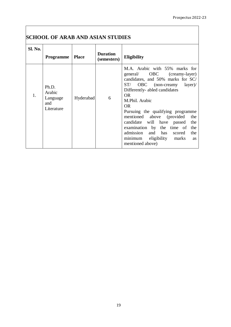### **SCHOOL OF ARAB AND ASIAN STUDIES**

| Sl. No. | <b>Programme</b>                                 | <b>Place</b> | <b>Duration</b><br>(semesters) | <b>Eligibility</b>                                                                                                                                                                                                                                                                                                                                                                                                                                           |
|---------|--------------------------------------------------|--------------|--------------------------------|--------------------------------------------------------------------------------------------------------------------------------------------------------------------------------------------------------------------------------------------------------------------------------------------------------------------------------------------------------------------------------------------------------------------------------------------------------------|
| 1.      | Ph.D.<br>Arabic<br>Language<br>and<br>Literature | Hyderabad    | 6                              | M.A. Arabic with 55% marks for<br>general/ OBC (creamy-layer)<br>candidates, and 50% marks for SC/<br>OBC (non-creamy layer)/<br>ST/<br>Differently- abled candidates<br>OR.<br>M.Phil. Arabic<br>OR.<br>Pursuing the qualifying programme<br>mentioned above (provided<br>the<br>candidate will have passed<br>the<br>examination by the time of<br>the<br>admission and has<br>the<br>scored<br>minimum eligibility marks<br><b>as</b><br>mentioned above) |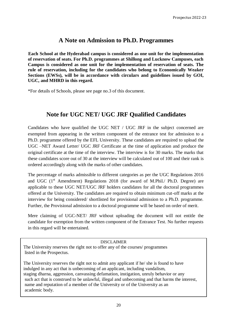### **A Note on Admission to Ph.D. Programmes**

**Each School at the Hyderabad campus is considered as one unit for the implementation of reservation of seats. For Ph.D. programmes at Shillong and Lucknow Campuses, each Campus is considered as one unit for the implementation of reservation of seats. The rule of reservation, including for the candidates who belong to Economically Weaker Sections (EWSs), will be in accordance with circulars and guidelines issued by GOI, UGC, and MHRD in this regard.**

\*For details of Schools, please see page no.3 of this document.

### **Note for UGC NET/ UGC JRF Qualified Candidates**

Candidates who have qualified the UGC NET / UGC JRF in the subject concerned are exempted from appearing in the written component of the entrance test for admission to a Ph.D. programme offered by the EFL University. These candidates are required to upload the UGC –NET Award Letter/ UGC JRF Certificate at the time of application and produce the original certificate at the time of the interview. The interview is for 30 marks. The marks that these candidates score out of 30 at the interview will be calculated out of 100 and their rank is ordered accordingly along with the marks of other candidates.

The percentage of marks admissible to different categories as per the UGC Regulations 2016 and UGC  $(1<sup>st</sup>$  Amendment) Regulations 2018 (for award of M.Phil./ Ph.D. Degree) are applicable to these UGC NET/UGC JRF holders candidates for all the doctoral programmes offered at the University. The candidates are required to obtain minimum cut-off marks at the interview for being considered/ shortlisted for provisional admission to a Ph.D. programme. Further, the Provisional admission to a doctoral programme will be based on order of merit.

Mere claiming of UGC-NET/ JRF without uploading the document will not entitle the candidate for exemption from the written component of the Entrance Test. No further requests in this regard will be entertained.

#### DISCLAIMER

The University reserves the right not to offer any of the courses/ programmes listed in the Prospectus.

The University reserves the right not to admit any applicant if he/ she is found to have indulged in any act that is unbecoming of an applicant, including vandalism, staging dharna, aggression, canvassing defamation, instigation, unruly behavior or any such act that is construed to be unlawful, illegal and unbecoming and that harms the interest, name and reputation of a member of the University or of the University as an academic body.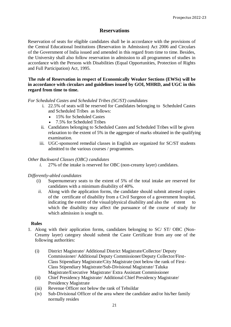### **Reservations**

Reservation of seats for eligible candidates shall be in accordance with the provisions of the Central Educational Institutions (Reservation in Admission) Act 2006 and Circulars of the Government of India issued and amended in this regard from time to time. Besides, the University shall also follow reservation in admission to all programmes of studies in accordance with the Persons with Disabilities (Equal Opportunities, Protection of Rights and Full Participation) Act, 1995.

#### **The rule of Reservation in respect of Economically Weaker Sections (EWSs) will be in accordance with circulars and guidelines issued by GOI, MHRD, and UGC in this regard from time to time.**

#### *For Scheduled Castes and Scheduled Tribes (SC/ST) candidates*

- i. 22.5% of seats will be reserved for Candidates belonging to Scheduled Castes and Scheduled Tribes as follows:
	- 15% for Scheduled Castes
	- 7.5% for Scheduled Tribes
- ii. Candidates belonging to Scheduled Castes and Scheduled Tribes will be given relaxation to the extent of 5% in the aggregate of marks obtained in the qualifying examination.
- iii. UGC-sponsored remedial classes in English are organized for SC/ST students admitted to the various courses / programmes.

#### *Other Backward Classes (OBC) candidates*

*i.* 27% of the intake is reserved for OBC (non-creamy layer) candidates.

### *Differently-abled candidates*

- (i) Supernumerary seats to the extent of 5% of the total intake are reserved for candidates with a minimum disability of 40%.
- *ii.* Along with the application forms, the candidate should submit attested copies of the certificate of disability from a Civil Surgeon of a government hospital, indicating the extent of the visual/physical disability and also the extent to which the disability may affect the pursuance of the course of study for which admission is sought to.

### **Rules**

- 1. Along with their application forms, candidates belonging to SC/ ST/ OBC (Non-Creamy layer) category should submit the Caste Certificate from any one of the following authorities:
	- (i) District Magistrate/ Additional District Magistrate/Collector/ Deputy Commissioner/ Additional Deputy Commissioner/Deputy Collector/First-Class Stipendiary Magistrate/City Magistrate (not below the rank of First-Class Stipendiary Magistrate/Sub-Divisional Magistrate/ Taluka Magistrate/Executive Magistrate/ Extra Assistant Commissioner
	- (ii) Chief Presidency Magistrate/ Additional Chief Presidency Magistrate/ Presidency Magistrate
	- (iii) Revenue Officer not below the rank of Tehsildar
	- (iv) Sub-Divisional Officer of the area where the candidate and/or his/her family normally resides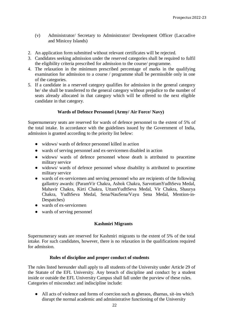- (v) Administrator/ Secretary to Administrator/ Development Officer (Laccadive and Minicoy Islands)
- 2. An application form submitted without relevant certificates will be rejected.
- 3. Candidates seeking admission under the reserved categories shall be required to fulfil the eligibility criteria prescribed for admission to the course/ programme.
- 4. The relaxation in the minimum prescribed percentage of marks in the qualifying examination for admission to a course / programme shall be permissible only in one of the categories.
- 5. If a candidate in a reserved category qualifies for admission in the general category he/ she shall be transferred to the general category without prejudice to the number of seats already allocated in that category which will be offered to the next eligible candidate in that category.

### **Wards of Defence Personnel (Army/ Air Force/ Navy)**

Supernumerary seats are reserved for wards of defence personnel to the extent of 5% of the total intake. In accordance with the guidelines issued by the Government of India, admission is granted according to the priority list below:

- widows/ wards of defence personnel killed in action
- wards of serving personnel and ex-servicemen disabled in action
- widows/ wards of defence personnel whose death is attributed to peacetime military service
- widows/ wards of defence personnel whose disability is attributed to peacetime military service
- wards of ex-servicemen and serving personnel who are recipients of the following gallantry awards: (ParamVir Chakra, Ashok Chakra, SarvottamYudhSeva Medal, Mahavir Chakra, Kirti Chakra, UttamYudhSeva Medal, Vir Chakra, Shaurya Chakra, YudhSeva Medal, Sena/NauSena/Vayu Sena Medal, Mention-in-Despatches)
- wards of ex-servicemen
- wards of serving personnel

### **Kashmiri Migrants**

Supernumerary seats are reserved for Kashmiri migrants to the extent of 5% of the total intake. For such candidates, however, there is no relaxation in the qualifications required for admission.

### **Rules of discipline and proper conduct of students**

The rules listed hereunder shall apply to all students of the University under Article 29 of the Statute of the EFL University. Any breach of discipline and conduct by a student inside or outside the EFL University Campus shall fall under the purview of these rules. Categories of misconduct and indiscipline include:

● All acts of violence and forms of coercion such as gheraos, dharnas, sit-ins which disrupt the normal academic and administrative functioning of the University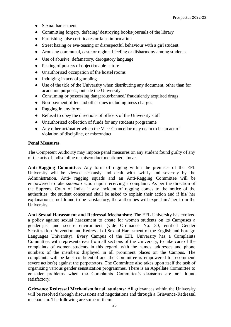- Sexual harassment
- Committing forgery, defacing/ destroying books/journals of the library
- Furnishing false certificates or false information
- Street hazing or eve-teasing or disrespectful behaviour with a girl student
- Arousing communal, caste or regional feeling or disharmony among students
- Use of abusive, defamatory, derogatory language
- Pasting of posters of objectionable nature
- Unauthorized occupation of the hostel rooms
- Indulging in acts of gambling
- Use of the title of the University when distributing any document, other than for academic purposes, outside the University
- Consuming or possessing dangerous/banned/ fraudulently acquired drugs
- Non-payment of fee and other dues including mess charges
- Ragging in any form
- Refusal to obey the directions of officers of the University staff
- Unauthorized collection of funds for any students programme
- Any other act/matter which the Vice-Chancellor may deem to be an act of violation of discipline, or misconduct

#### **Penal Measures**

The Competent Authority may impose penal measures on any student found guilty of any of the acts of indiscipline or misconduct mentioned above.

**Anti-Ragging Committee:** Any form of ragging within the premises of the EFL University will be viewed seriously and dealt with swiftly and severely by the Administration. Anti- ragging squads and an Anti-Ragging Committee will be empowered to take *suomoto* action upon receiving a complaint. As per the direction of the Supreme Court of India, if any incident of ragging comes to the notice of the authorities, the student concerned shall be asked to explain their action and if his/ her explanation is not found to be satisfactory, the authorities will expel him/ her from the University.

**Anti-Sexual Harassment and Redressal Mechanism:** The EFL University has evolved a policy against sexual harassment to create for women students on its Campuses a gender-just and secure environment (vide Ordinance No. 30, entitled Gender Sensitization Prevention and Redressal of Sexual Harassment of the English and Foreign Languages University). Every Campus of the EFL University has a Complaints Committee, with representatives from all sections of the University, to take care of the complaints of women students in this regard, with the names, addresses and phone numbers of the members displayed in all prominent places on the Campus. The complaints will be kept confidential and the Committee is empowered to recommend severe action(s) against the perpetrators. The Committee also takes upon itself the task of organizing various gender sensitization programmes. There is an Appellate Committee to consider problems when the Complaints Committee's decisions are not found satisfactory.

**Grievance Redressal Mechanism for all students:** All grievances within the University will be resolved through discussions and negotiations and through a Grievance-Redressal mechanism. The following are some of them: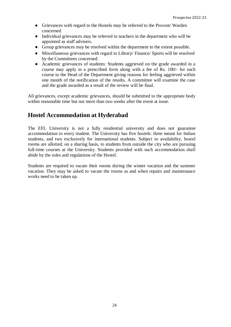- Grievances with regard to the Hostels may be referred to the Provost/ Warden concerned.
- Individual grievances may be referred to teachers in the department who will be appointed as staff advisers.
- Group grievances may be resolved within the department to the extent possible.
- Miscellaneous grievances with regard to Library/ Finance/ Sports will be resolved by the Committees concerned.
- Academic grievances of students: Students aggrieved on the grade awarded in a course may apply in a prescribed form along with a fee of Rs. 100/- for each course to the Head of the Department giving reasons for feeling aggrieved within one month of the notification of the results. A committee will examine the case and the grade awarded as a result of the review will be final.

All grievances, except academic grievances, should be submitted to the appropriate body within reasonable time but not more than two weeks after the event at issue.

### **Hostel Accommodation at Hyderabad**

The EFL University is not a fully residential university and does not guarantee accommodation to every student. The University has five hostels: three meant for Indian students, and two exclusively for international students. Subject to availability, hostel rooms are allotted, on a sharing basis, to students from outside the city who are pursuing full-time courses at the University. Students provided with such accommodation shall abide by the rules and regulations of the Hostel.

Students are required to vacate their rooms during the winter vacation and the summer vacation. They may be asked to vacate the rooms as and when repairs and maintenance works need to be taken up.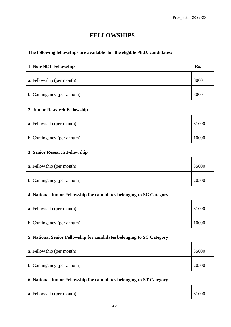## **FELLOWSHIPS**

### **The following fellowships are available for the eligible Ph.D. candidates:**

| 1. Non-NET Fellowship                                                 | Rs.   |  |  |  |
|-----------------------------------------------------------------------|-------|--|--|--|
| a. Fellowship (per month)                                             | 8000  |  |  |  |
| b. Contingency (per annum)                                            | 8000  |  |  |  |
| 2. Junior Research Fellowship                                         |       |  |  |  |
| a. Fellowship (per month)                                             | 31000 |  |  |  |
| b. Contingency (per annum)                                            | 10000 |  |  |  |
| 3. Senior Research Fellowship                                         |       |  |  |  |
| a. Fellowship (per month)                                             | 35000 |  |  |  |
| b. Contingency (per annum)                                            | 20500 |  |  |  |
| 4. National Junior Fellowship for candidates belonging to SC Category |       |  |  |  |
| a. Fellowship (per month)                                             | 31000 |  |  |  |
| b. Contingency (per annum)                                            | 10000 |  |  |  |
| 5. National Senior Fellowship for candidates belonging to SC Category |       |  |  |  |
| a. Fellowship (per month)                                             | 35000 |  |  |  |
| b. Contingency (per annum)                                            | 20500 |  |  |  |
| 6. National Junior Fellowship for candidates belonging to ST Category |       |  |  |  |
| a. Fellowship (per month)                                             | 31000 |  |  |  |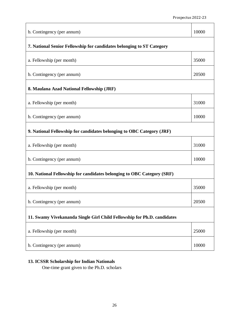| b. Contingency (per annum)                                              | 10000 |  |  |  |
|-------------------------------------------------------------------------|-------|--|--|--|
| 7. National Senior Fellowship for candidates belonging to ST Category   |       |  |  |  |
| a. Fellowship (per month)                                               | 35000 |  |  |  |
| b. Contingency (per annum)                                              | 20500 |  |  |  |
| 8. Maulana Azad National Fellowship (JRF)                               |       |  |  |  |
| a. Fellowship (per month)                                               | 31000 |  |  |  |
| b. Contingency (per annum)                                              | 10000 |  |  |  |
| 9. National Fellowship for candidates belonging to OBC Category (JRF)   |       |  |  |  |
| a. Fellowship (per month)                                               | 31000 |  |  |  |
| b. Contingency (per annum)                                              | 10000 |  |  |  |
| 10. National Fellowship for candidates belonging to OBC Category (SRF)  |       |  |  |  |
| a. Fellowship (per month)                                               | 35000 |  |  |  |
| b. Contingency (per annum)                                              | 20500 |  |  |  |
| 11. Swamy Vivekananda Single Girl Child Fellowship for Ph.D. candidates |       |  |  |  |
| a. Fellowship (per month)                                               | 25000 |  |  |  |
| b. Contingency (per annum)                                              | 10000 |  |  |  |

### **13. ICSSR Scholarship for Indian Nationals**

One-time grant given to the Ph.D. scholars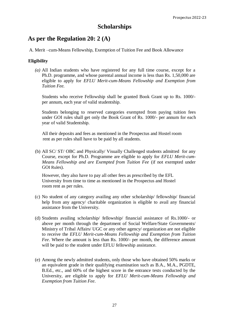### **Scholarships**

### **As per the Regulation 20: 2 (A)**

A. Merit –cum-Means Fellowship, Exemption of Tuition Fee and Book Allowance

### **Eligibility**

*(a)* All Indian students who have registered for any full time course, except for a Ph.D. programme, and whose parental annual income is less than Rs. 1,50,000 are eligible to apply for *EFLU Merit-cum-Means Fellowship and Exemption from Tuition Fee.*

Students who receive Fellowship shall be granted Book Grant up to Rs. 1000/ per annum, each year of valid studentship.

Students belonging to reserved categories exempted from paying tuition fees under GOI rules shall get only the Book Grant of Rs. 1000/- per annum for each year of valid Studentship.

All their deposits and fees as mentioned in the Prospectus and Hostel room rent as per rules shall have to be paid by all students.

(b) All SC/ ST/ OBC and Physically/ Visually Challenged students admitted for any Course, except for Ph.D. Programme are eligible to apply for *EFLU Merit-cum-Means Fellowship and are Exempted from Tuition Fee* (if not exempted under GOI Rules).

However, they also have to pay all other fees as prescribed by the EFL University from time to time as mentioned in the Prospectus and Hostel room rent as per rules.

- (c) No student of any category availing any other scholarship/ fellowship/ financial help from any agency/ charitable organization is eligible to avail any financial assistance from the University.
- (d) Students availing scholarship/ fellowship/ financial assistance of Rs.1000/- or above per month through the department of Social Welfare/State Governments/ Ministry of Tribal Affairs/ UGC or any other agency/ organization are not eligible to receive the *EFLU Merit-cum-Means Fellowship and Exemption from Tuition Fee*. Where the amount is less than Rs. 1000/- per month, the difference amount will be paid to the student under EFLU fellowship assistance.
- (e) Among the newly admitted students, only those who have obtained 50% marks or an equivalent grade in their qualifying examination such as B.A., M.A., PGDTE, B.Ed., etc., and 60% of the highest score in the entrance tests conducted by the University, are eligible to apply for *EFLU Merit-cum-Means Fellowship and Exemption from Tuition Fee*.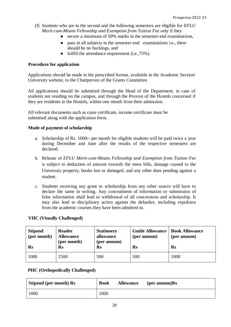- (f) Students who are in the second and the following semesters are eligible for *EFLU Merit-cum-Means Fellowship and Exemption from Tuition Fee* only if they
	- secure a minimum of 50% marks in the semester-end examinations,
	- pass in all subjects in the semester-end examinations i.e., there should be no backlogs, and
	- fulfill the attendance requirement (i.e., 75%).

#### **Procedure for application**

Applications should be made in the prescribed format, available in the Academic Section/ University website, to the Chairperson of the Grants Committee.

All applications should be submitted through the Head of the Department, in case of students not residing on the campus, and through the Provost of the Hostels concerned if they are residents in the Hostels, within one month from their admission.

All relevant documents such as caste certificate, income certificate must be submitted along with the application form.

#### **Mode of payment of scholarship**

- a. Scholarship of Rs. 1000/- per month for eligible students will be paid twice a year during December and June after the results of the respective semesters are declared.
- b. Release of *EFLU Merit-cum-Means Fellowship and Exemption from Tuition Fee*  is subject to deduction of amount towards the mess bills, damage caused to the University property, books lost or damaged, and any other dues pending against a student.
- c. Students receiving any grant or scholarship from any other source will have to declare the same in writing. Any concealment of information or submission of false information shall lead to withdrawal of all concessions and scholarship. It may also lead to disciplinary action against the defaulter, including expulsion from the academic courses they have been admitted to.

#### **VHC (Visually Challenged)**

| <b>Stipend</b><br>(per month)<br>$\mathbf{R}\mathbf{s}$ | <b>Reader</b><br><b>Allowance</b><br>(per month)<br>$\mathbf{R}$ s | <b>Stationery</b><br>allowance<br>(per annum)<br>$\mathbf{Rs}$ | <b>Guide Allowance</b><br>(per annum)<br>$\mathbf{Rs}$ | <b>Book Allowance</b><br>(per annum)<br>Rs |
|---------------------------------------------------------|--------------------------------------------------------------------|----------------------------------------------------------------|--------------------------------------------------------|--------------------------------------------|
| 1000                                                    | 2500                                                               | 500                                                            | 500                                                    | 1000                                       |

#### **PHC (Orthopedically Challenged)**

| Stipend (per month) Rs | <b>Book</b> | <b>Allowance</b> | $(\text{per annum})$ Rs |
|------------------------|-------------|------------------|-------------------------|
| 1000                   | 1000        |                  |                         |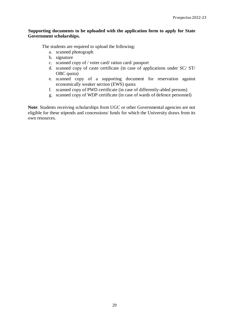#### **Supporting documents to be uploaded with the application form to apply for State Government scholarships.**

The students are required to upload the following:

- a. scanned photograph
- b. signature
- c. scanned copy of / voter card/ ration card/ passport
- d. scanned copy of caste certificate (in case of applications under SC/ ST/ OBC quota)
- e. scanned copy of a supporting document for reservation against economically weaker section (EWS) quota
- f. scanned copy of PWD certificate (in case of differently-abled persons)
- g. scanned copy of WDP certificate (in case of wards of defence personnel)

Note: Students receiving scholarships from UGC or other Governmental agencies are not eligible for these stipends and concessions/ funds for which the University draws from its own resources.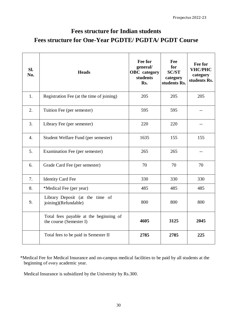## **Fees structure for Indian students Fees structure for One-Year PGDTE/ PGDTA/ PGDT Course**

| Sl.<br>No.       | <b>Heads</b>                                                      | Fee for<br>general/<br><b>OBC</b> category<br>students<br>Rs. | Fee<br>for<br><b>SC/ST</b><br>category<br>students Rs. | Fee for<br><b>VHC/PHC</b><br>category<br>students Rs. |
|------------------|-------------------------------------------------------------------|---------------------------------------------------------------|--------------------------------------------------------|-------------------------------------------------------|
| 1.               | Registration Fee (at the time of joining)                         | 205                                                           | 205                                                    | 205                                                   |
| 2.               | Tuition Fee (per semester)                                        | 595                                                           | 595                                                    |                                                       |
| 3.               | Library Fee (per semester)                                        | 220                                                           | 220                                                    | --                                                    |
| $\overline{4}$ . | Student Welfare Fund (per semester)                               | 1635                                                          | 155                                                    | 155                                                   |
| 5.               | Examination Fee (per semester)                                    | 265                                                           | 265                                                    | $-$                                                   |
| 6.               | Grade Card Fee (per semester)                                     | 70                                                            | 70                                                     | 70                                                    |
| 7.               | <b>Identity Card Fee</b>                                          | 330                                                           | 330                                                    | 330                                                   |
| 8.               | *Medical Fee (per year)                                           | 485                                                           | 485                                                    | 485                                                   |
| 9.               | Library Deposit (at the time of<br>joining)(Refundable)           | 800                                                           | 800                                                    | 800                                                   |
|                  | Total fees payable at the beginning of<br>the course (Semester I) | 4605                                                          | 3125                                                   | 2045                                                  |
|                  | Total fees to be paid in Semester II                              | 2785                                                          | 2785                                                   | 225                                                   |

\*Medical Fee for Medical Insurance and on-campus medical facilities to be paid by all students at the beginning of every academic year.

Medical Insurance is subsidized by the University by Rs.300.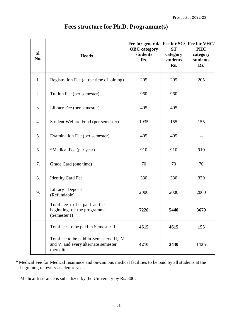| SI.<br>No. | <b>Heads</b>                                                                                    | Fee for general/<br><b>OBC</b> category<br>students<br>Rs. | <b>ST</b><br>category<br>students<br>Rs. | Fee for SC/ Fee for VHC/<br><b>PHC</b><br>category<br>students<br>Rs. |
|------------|-------------------------------------------------------------------------------------------------|------------------------------------------------------------|------------------------------------------|-----------------------------------------------------------------------|
| 1.         | Registration Fee (at the time of joining)                                                       | 205                                                        | 205                                      | 205                                                                   |
| 2.         | Tuition Fee (per semester)                                                                      | 960                                                        | 960                                      | --                                                                    |
| 3.         | Library Fee (per semester)                                                                      | 405                                                        | 405                                      | --                                                                    |
| 4.         | Student Welfare Fund (per semester)                                                             | 1935                                                       | 155                                      | 155                                                                   |
| 5.         | Examination Fee (per semester)                                                                  | 405                                                        | 405                                      |                                                                       |
| 6.         | *Medical Fee (per year)                                                                         | 910                                                        | 910                                      | 910                                                                   |
| 7.         | Grade Card (one time)                                                                           | 70                                                         | 70                                       | 70                                                                    |
| 8.         | <b>Identity Card Fee</b>                                                                        | 330                                                        | 330                                      | 330                                                                   |
| 9.         | Library Deposit<br>(Refundable)                                                                 | 2000                                                       | 2000                                     | 2000                                                                  |
|            | Total fee to be paid at the<br>beginning of the programme<br>(Semester I)                       | 7220                                                       | 5440                                     | 3670                                                                  |
|            | Total fees to be paid in Semester II                                                            | 4615                                                       | 4615                                     | 155                                                                   |
|            | Total fee to be paid in Semesters III, IV,<br>and V, and every alternate semester<br>thereafter | 4210                                                       | 2430                                     | 1135                                                                  |

## **Fees structure for Ph.D. Programme(s)**

 \* Medical Fee for Medical Insurance and on-campus medical facilities to be paid by all students at the beginning of every academic year.

Medical Insurance is subsidized by the University by Rs. 300.